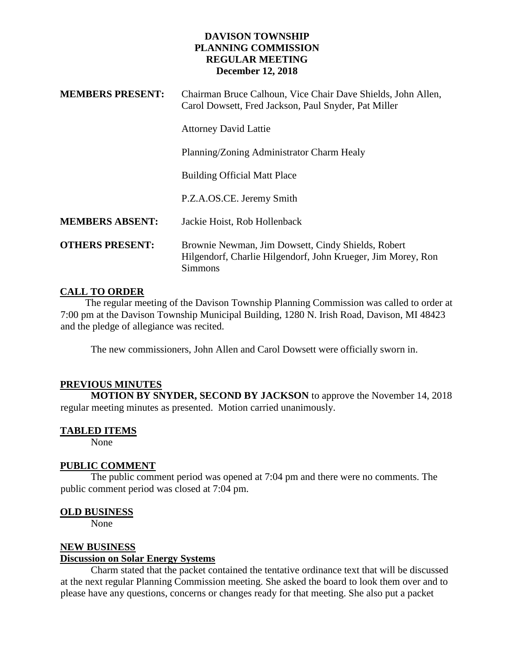## **DAVISON TOWNSHIP PLANNING COMMISSION REGULAR MEETING December 12, 2018**

| <b>MEMBERS PRESENT:</b> | Chairman Bruce Calhoun, Vice Chair Dave Shields, John Allen,<br>Carol Dowsett, Fred Jackson, Paul Snyder, Pat Miller                 |
|-------------------------|--------------------------------------------------------------------------------------------------------------------------------------|
|                         | <b>Attorney David Lattie</b>                                                                                                         |
|                         | Planning/Zoning Administrator Charm Healy                                                                                            |
|                         | <b>Building Official Matt Place</b>                                                                                                  |
|                         | P.Z.A.OS.CE. Jeremy Smith                                                                                                            |
| <b>MEMBERS ABSENT:</b>  | Jackie Hoist, Rob Hollenback                                                                                                         |
| <b>OTHERS PRESENT:</b>  | Brownie Newman, Jim Dowsett, Cindy Shields, Robert<br>Hilgendorf, Charlie Hilgendorf, John Krueger, Jim Morey, Ron<br><b>Simmons</b> |

## **CALL TO ORDER**

 The regular meeting of the Davison Township Planning Commission was called to order at 7:00 pm at the Davison Township Municipal Building, 1280 N. Irish Road, Davison, MI 48423 and the pledge of allegiance was recited.

The new commissioners, John Allen and Carol Dowsett were officially sworn in.

### **PREVIOUS MINUTES**

**MOTION BY SNYDER, SECOND BY JACKSON** to approve the November 14, 2018 regular meeting minutes as presented. Motion carried unanimously.

#### **TABLED ITEMS**

None

### **PUBLIC COMMENT**

The public comment period was opened at 7:04 pm and there were no comments. The public comment period was closed at 7:04 pm.

#### **OLD BUSINESS**

None

### **NEW BUSINESS**

#### **Discussion on Solar Energy Systems**

Charm stated that the packet contained the tentative ordinance text that will be discussed at the next regular Planning Commission meeting. She asked the board to look them over and to please have any questions, concerns or changes ready for that meeting. She also put a packet